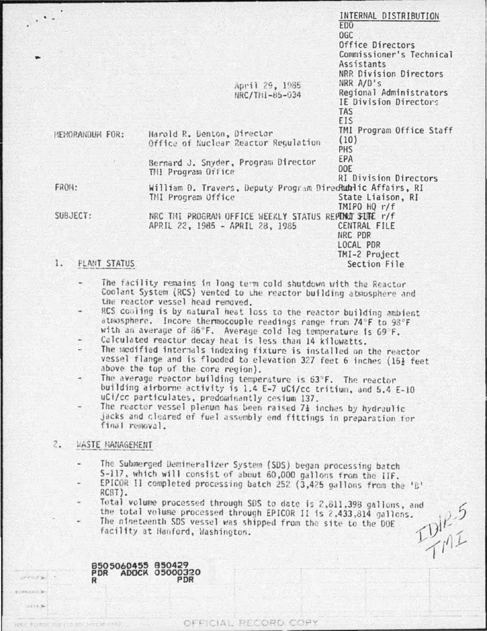| ×.                     |                                                                                         | INTERNAL DISTRIBUTION<br>ED <sub>0</sub><br>OGC<br>Office Directors<br>Commissioner's Technical<br>Assistants |
|------------------------|-----------------------------------------------------------------------------------------|---------------------------------------------------------------------------------------------------------------|
|                        | April 29, 1985<br>NRC/TN1-85-034                                                        | NRR Division Directors<br>$NRR$ $A/D$ 's<br>Regional Administrators<br>IE Division Directors<br><b>TAS</b>    |
| <b>HEMORANDUM FOR:</b> | Harold R. Denton, Director<br>Office of Nuclear Reactor Regulation                      | EIS<br>TMI Program Office Staff<br>(10)<br>PHS:                                                               |
|                        | Bernard J. Snyder, Program Director<br>THI Program Office                               | EPA<br><b>DOE</b><br><b>RI Division Directors</b>                                                             |
| FROM:                  | William D. Travers, Deputy Program DirecRublic Affairs, RI<br>TMI Program Office        | State Liaison, RI<br>$IMIPO$ HQ $r/f$                                                                         |
| SUBJECT:               | NRC THI PROGRAM OFFICE WEEKLY STATUS REPOND SUPE r/f<br>APRIL 22, 1985 - APRIL 28, 1985 | CENTRAL FILE<br>NRC PDR<br>LOCAL PDR                                                                          |
| PLANT STATUS<br>1.     |                                                                                         | TMI-2 Project<br>Section File                                                                                 |

- - The facility remains in long term cold shutdown with the Reactor Coolant System (RCS) vented to the reactor building atmosphere and the reactor vessel head removed.
	- RCS cooling is by natural heat loss to the reactor building ambient atmosphere. Incore thermocouple readings range from 74°F to 98°F with an average of 86°F. Average cold leg temperature is 69°F.
	- Calculated reactor decay heat is less than 14 kilowatts.
	- The modified internals indexing fixture is installed on the reactor vessel flange and is flooded to elevation 327 feet 6 inches (15} feet above the top of the core region).
	- The average reactor building temperature is 63°F. The reactor building airborne activity is 1.4 E-7 uCi/cc tritium, and 5.4 E-10 uCi/cc particulates, predominantly cesium 137.
	- The reactor vessel plenum has been raised  $7\frac{1}{4}$  inches by hydraulic jacks and cleared of fuel assembly end fittings in preparation for final removal.

# $2.$ WASTE MANAGEMENT

 $1878B$ 

- The Submerged Demineralizer System (SDS) began processing batch 5-117, which will consist of about 60,000 gallons from the IIF.
- EPICOR II completed processing batch 252 (3,425 gallons from the 'B' RCBT).
- Total volume processed through SDS to date is 2,811,398 gallons, and  $P_{\text{init}}^{\text{P-5}}$ the total volume processed through EPICOR II is 2,433,814 gallons.

OFFICIAL RECORD COPY

The nineteenth SDS vessel was shipped from the site to the DOE facility at Hanford, Washington.

8505060455 850429 00320 PDR **ADOCK** PDR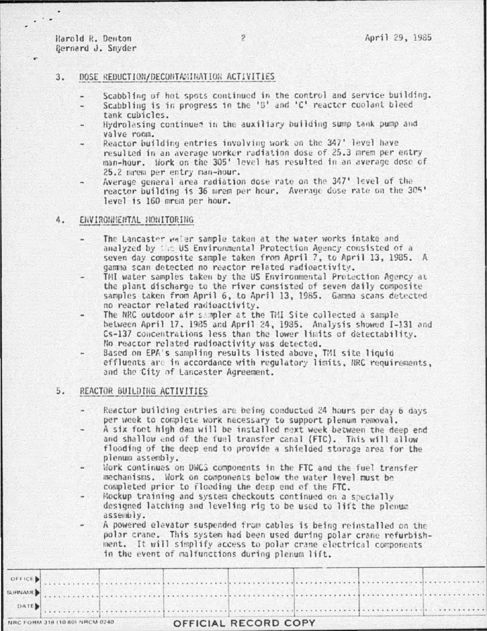Harold R. Denton Bernard J. Snyder

# $3.$ DOSE REDUCTION/DECONTAMINATION ACTIVITIES

- Scabbling of hot spots continued in the control and service building.
- Scabbling is in progress in the 'B' and 'C' reactor coolant bleed  $\sim$ tank cubicles.
- Hydrolasing continues in the auxiliary building sump tank pump and valve room.
- Reactor building entries involving work on the 347' level have resulted in an average worker radiation dose of 25.3 mrem per entry man-hour. Work on the 305' level has resulted in an average dose of 25.2 mrem per entry man-hour.
- Average general area radiation dose rate on the 347' level of the reactor building is 36 mrem per hour. Average dose rate on the 305' level is 160 mrem per hour.

# 4. ENVIRONMENTAL MONITORING

- The Lancaster wwier sample taken at the water works intake and analyzed by the US Environmental Protection Agency consisted of a seven day composite sample taken from April 7, to April 13, 1985. A gamma scan detected no reactor related radioactivity.
- TMI water samples taken by the US Environmental Protection Agency at the plant discharge to the river consisted of seven daily composite samples taken from April 6, to April 13, 1985. Gamma scans detected no reactor related radioactivity.
- The NRC outdoor air sampler at the TMI Site collected a sample between April 17, 1985 and April 24, 1985. Analysis showed I-131 and Cs-137 concentrations less than the lower limits of detectability. No reactor related radioactivity was detected.
- Based on EPA's sampling results listed above, TMI site liquid effluents are in accordance with regulatory limits, NRC requirements, and the City of Lancaster Agreement.

#### 5. REACTOR BUILDING ACTIVITIES

- Reactor building entries are being conducted 24 hours per day 6 days per week to complete work necessary to support plenum removal.
- A six foot high dam will be installed next week between the deep end and shallow end of the fuel transfer canal (FTC). This will allow flooding of the deep end to provide a shielded storage area for the plenum assembly.
- Work continues on DWCS components in the FTC and the fuel transfer mechanisms. Work on components below the water level must be completed prior to flooding the deep end of the FTC.
- Hockup training and system checkouts continued on a specially designed latching and leveling rig to be used to lift the plenum assembly.
- A powered elevator suspended from cables is being reinstalled on the polar crane. This system had been used during polar crane refurbishment. It will simplify access to polar crane electrical components in the event of malfunctions during plenum lift.

 $\overline{\phantom{a}}$